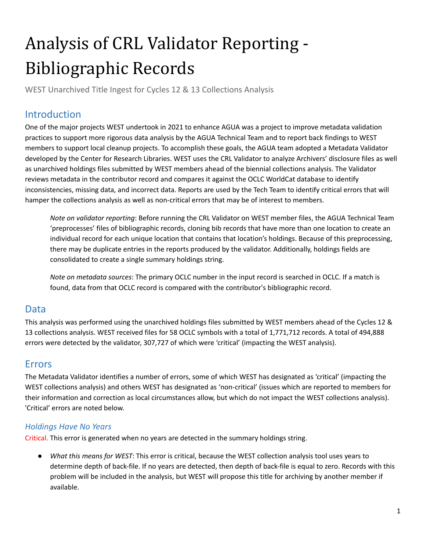# Analysis of CRL Validator Reporting - Bibliographic Records

WEST Unarchived Title Ingest for Cycles 12 & 13 Collections Analysis

## Introduction

 One of the major projects WEST undertook in 2021 to enhance AGUA was a project to improve metadata validation practices to support more rigorous data analysis by the AGUA Technical Team and to report back findings to WEST members to support local cleanup projects. To accomplish these goals, the AGUA team adopted a Metadata Validator developed by the Center for Research Libraries. WEST uses the CRL Validator to analyze Archivers' disclosure files as well as unarchived holdings files submitted by WEST members ahead of the biennial collections analysis. The Validator reviews metadata in the contributor record and compares it against the OCLC WorldCat database to identify inconsistencies, missing data, and incorrect data. Reports are used by the Tech Team to identify critical errors that will hamper the collections analysis as well as non-critical errors that may be of interest to members.

 *Note on validator reporting*: Before running the CRL Validator on WEST member files, the AGUA Technical Team 'preprocesses' files of bibliographic records, cloning bib records that have more than one location to create an individual record for each unique location that contains that location's holdings. Because of this preprocessing, there may be duplicate entries in the reports produced by the validator. Additionally, holdings fields are consolidated to create a single summary holdings string.

 *Note on metadata sources*: The primary OCLC number in the input record is searched in OCLC. If a match is found, data from that OCLC record is compared with the contributor's bibliographic record.

### Data

 This analysis was performed using the unarchived holdings files submitted by WEST members ahead of the Cycles 12 & 13 collections analysis. WEST received files for 58 OCLC symbols with a total of 1,771,712 records. A total of 494,888 errors were detected by the validator, 307,727 of which were 'critical' (impacting the WEST analysis).

## Errors

 The Metadata Validator identifies a number of errors, some of which WEST has designated as 'critical' (impacting the WEST collections analysis) and others WEST has designated as 'non-critical' (issues which are reported to members for their information and correction as local circumstances allow, but which do not impact the WEST collections analysis). 'Critical' errors are noted below.

#### *Holdings Have No Years*

Critical. This error is generated when no years are detected in the summary holdings string.

 ● *What this means for WEST*: This error is critical, because the WEST collection analysis tool uses years to determine depth of back-file. If no years are detected, then depth of back-file is equal to zero. Records with this problem will be included in the analysis, but WEST will propose this title for archiving by another member if available.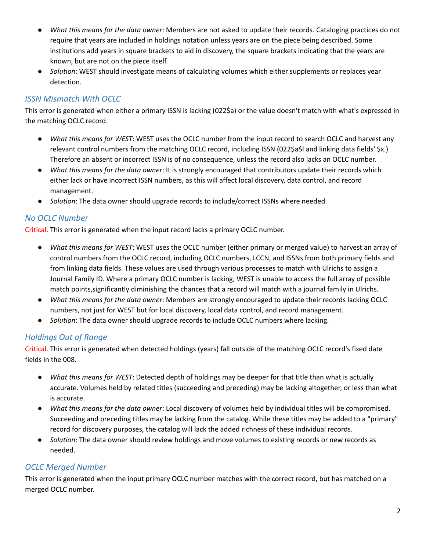- *What this means for the data owner*: Members are not asked to update their records. Cataloging practices do not require that years are included in holdings notation unless years are on the piece being described. Some institutions add years in square brackets to aid in discovery, the square brackets indicating that the years are known, but are not on the piece itself.
- ● *Solution*: WEST should investigate means of calculating volumes which either supplements or replaces year detection.

#### *ISSN Mismatch With OCLC*

 This error is generated when either a primary ISSN is lacking (022\$a) or the value doesn't match with what's expressed in the matching OCLC record.

- *What this means for WEST*: WEST uses the OCLC number from the input record to search OCLC and harvest any relevant control numbers from the matching OCLC record, including ISSN (022\$a\$l and linking data fields' \$x.) Therefore an absent or incorrect ISSN is of no consequence, unless the record also lacks an OCLC number.
- *What this means for the data owner*: It is strongly encouraged that contributors update their records which either lack or have incorrect ISSN numbers, as this will affect local discovery, data control, and record management.
- *Solution*: The data owner should upgrade records to include/correct ISSNs where needed.

#### *No OCLC Number*

Critical. This error is generated when the input record lacks a primary OCLC number.

- *What this means for WEST*: WEST uses the OCLC number (either primary or merged value) to harvest an array of control numbers from the OCLC record, including OCLC numbers, LCCN, and ISSNs from both primary fields and from linking data fields. These values are used through various processes to match with Ulrichs to assign a Journal Family ID. Where a primary OCLC number is lacking, WEST is unable to access the full array of possible match points,significantly diminishing the chances that a record will match with a journal family in Ulrichs.
- *What this means for the data owner*: Members are strongly encouraged to update their records lacking OCLC numbers, not just for WEST but for local discovery, local data control, and record management.
- *Solution*: The data owner should upgrade records to include OCLC numbers where lacking.

#### *Holdings Out of Range*

 Critical. This error is generated when detected holdings (years) fall outside of the matching OCLC record's fixed date fields in the 008.

- *What this means for WEST*: Detected depth of holdings may be deeper for that title than what is actually accurate. Volumes held by related titles (succeeding and preceding) may be lacking altogether, or less than what is accurate.
- *What this means for the data owner*: Local discovery of volumes held by individual titles will be compromised. Succeeding and preceding titles may be lacking from the catalog. While these titles may be added to a "primary" record for discovery purposes, the catalog will lack the added richness of these individual records.
- ● *Solution*: The data owner should review holdings and move volumes to existing records or new records as needed.

#### *OCLC Merged Number*

 This error is generated when the input primary OCLC number matches with the correct record, but has matched on a merged OCLC number.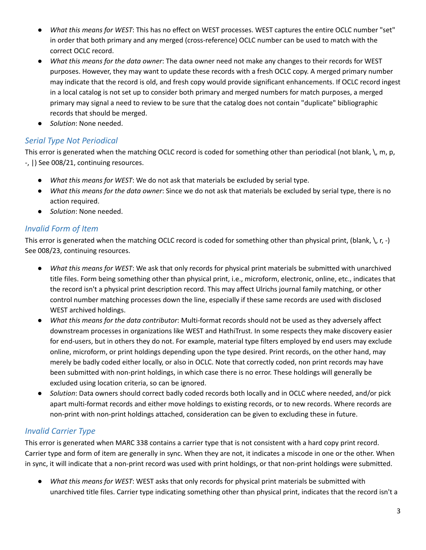- *What this means for WEST*: This has no effect on WEST processes. WEST captures the entire OCLC number "set" in order that both primary and any merged (cross-reference) OCLC number can be used to match with the correct OCLC record.
- *What this means for the data owner*: The data owner need not make any changes to their records for WEST purposes. However, they may want to update these records with a fresh OCLC copy. A merged primary number may indicate that the record is old, and fresh copy would provide significant enhancements. If OCLC record ingest in a local catalog is not set up to consider both primary and merged numbers for match purposes, a merged primary may signal a need to review to be sure that the catalog does not contain "duplicate" bibliographic records that should be merged.
- *Solution*: None needed.

#### *Serial Type Not Periodical*

 This error is generated when the matching OCLC record is coded for something other than periodical (not blank, \, m, p, -, |) See 008/21, continuing resources.

- *What this means for WEST*: We do not ask that materials be excluded by serial type.
- *What this means for the data owner*: Since we do not ask that materials be excluded by serial type, there is no action required.
- *Solution*: None needed.

#### *Invalid Form of Item*

 This error is generated when the matching OCLC record is coded for something other than physical print, (blank, \, r, -) See 008/23, continuing resources.

- *What this means for WEST*: We ask that only records for physical print materials be submitted with unarchived title files. Form being something other than physical print, i.e., microform, electronic, online, etc., indicates that the record isn't a physical print description record. This may affect Ulrichs journal family matching, or other control number matching processes down the line, especially if these same records are used with disclosed WEST archived holdings.
- *What this means for the data contributor*: Multi-format records should not be used as they adversely affect downstream processes in organizations like WEST and HathiTrust. In some respects they make discovery easier for end-users, but in others they do not. For example, material type filters employed by end users may exclude online, microform, or print holdings depending upon the type desired. Print records, on the other hand, may merely be badly coded either locally, or also in OCLC. Note that correctly coded, non print records may have been submitted with non-print holdings, in which case there is no error. These holdings will generally be excluded using location criteria, so can be ignored.
- ● *Solution*: Data owners should correct badly coded records both locally and in OCLC where needed, and/or pick apart multi-format records and either move holdings to existing records, or to new records. Where records are non-print with non-print holdings attached, consideration can be given to excluding these in future.

#### *Invalid Carrier Type*

 This error is generated when MARC 338 contains a carrier type that is not consistent with a hard copy print record. Carrier type and form of item are generally in sync. When they are not, it indicates a miscode in one or the other. When in sync, it will indicate that a non-print record was used with print holdings, or that non-print holdings were submitted.

 ● *What this means for WEST*: WEST asks that only records for physical print materials be submitted with unarchived title files. Carrier type indicating something other than physical print, indicates that the record isn't a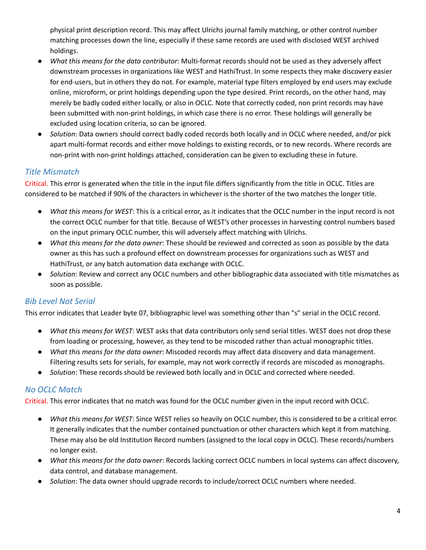physical print description record. This may affect Ulrichs journal family matching, or other control number matching processes down the line, especially if these same records are used with disclosed WEST archived holdings.

- *What this means for the data contributor*: Multi-format records should not be used as they adversely affect downstream processes in organizations like WEST and HathiTrust. In some respects they make discovery easier for end-users, but in others they do not. For example, material type filters employed by end users may exclude online, microform, or print holdings depending upon the type desired. Print records, on the other hand, may merely be badly coded either locally, or also in OCLC. Note that correctly coded, non print records may have been submitted with non-print holdings, in which case there is no error. These holdings will generally be excluded using location criteria, so can be ignored.
- ● *Solution*: Data owners should correct badly coded records both locally and in OCLC where needed, and/or pick apart multi-format records and either move holdings to existing records, or to new records. Where records are non-print with non-print holdings attached, consideration can be given to excluding these in future.

#### *Title Mismatch*

 Critical. This error is generated when the title in the input file differs significantly from the title in OCLC. Titles are considered to be matched if 90% of the characters in whichever is the shorter of the two matches the longer title.

- *What this means for WEST*: This is a critical error, as it indicates that the OCLC number in the input record is not the correct OCLC number for that title. Because of WEST's other processes in harvesting control numbers based on the input primary OCLC number, this will adversely affect matching with Ulrichs.
- *What this means for the data owner*: These should be reviewed and corrected as soon as possible by the data owner as this has such a profound effect on downstream processes for organizations such as WEST and HathiTrust, or any batch automation data exchange with OCLC.
- ● *Solution*: Review and correct any OCLC numbers and other bibliographic data associated with title mismatches as soon as possible.

#### *Bib Level Not Serial*

This error indicates that Leader byte 07, bibliographic level was something other than "s" serial in the OCLC record.

- *What this means for WEST*: WEST asks that data contributors only send serial titles. WEST does not drop these from loading or processing, however, as they tend to be miscoded rather than actual monographic titles.
- *What this means for the data owner*: Miscoded records may affect data discovery and data management. Filtering results sets for serials, for example, may not work correctly if records are miscoded as monographs.
- *Solution*: These records should be reviewed both locally and in OCLC and corrected where needed.

#### *No OCLC Match*

Critical. This error indicates that no match was found for the OCLC number given in the input record with OCLC.

- *What this means for WEST*: Since WEST relies so heavily on OCLC number, this is considered to be a critical error. It generally indicates that the number contained punctuation or other characters which kept it from matching. These may also be old Institution Record numbers (assigned to the local copy in OCLC). These records/numbers no longer exist.
- *What this means for the data owner*: Records lacking correct OCLC numbers in local systems can affect discovery, data control, and database management.
- *Solution*: The data owner should upgrade records to include/correct OCLC numbers where needed.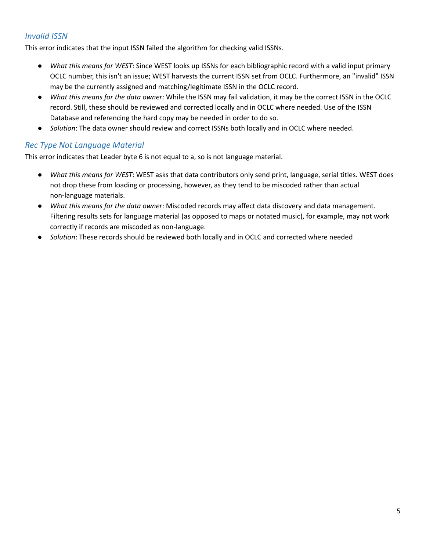#### *Invalid ISSN*

This error indicates that the input ISSN failed the algorithm for checking valid ISSNs.

- *What this means for WEST*: Since WEST looks up ISSNs for each bibliographic record with a valid input primary OCLC number, this isn't an issue; WEST harvests the current ISSN set from OCLC. Furthermore, an "invalid" ISSN may be the currently assigned and matching/legitimate ISSN in the OCLC record.
- *What this means for the data owner*: While the ISSN may fail validation, it may be the correct ISSN in the OCLC record. Still, these should be reviewed and corrected locally and in OCLC where needed. Use of the ISSN Database and referencing the hard copy may be needed in order to do so.
- *Solution*: The data owner should review and correct ISSNs both locally and in OCLC where needed.

#### *Rec Type Not Language Material*

This error indicates that Leader byte 6 is not equal to a, so is not language material.

- *What this means for WEST*: WEST asks that data contributors only send print, language, serial titles. WEST does not drop these from loading or processing, however, as they tend to be miscoded rather than actual non-language materials.
- *What this means for the data owner*: Miscoded records may affect data discovery and data management. Filtering results sets for language material (as opposed to maps or notated music), for example, may not work correctly if records are miscoded as non-language.
- *Solution*: These records should be reviewed both locally and in OCLC and corrected where needed